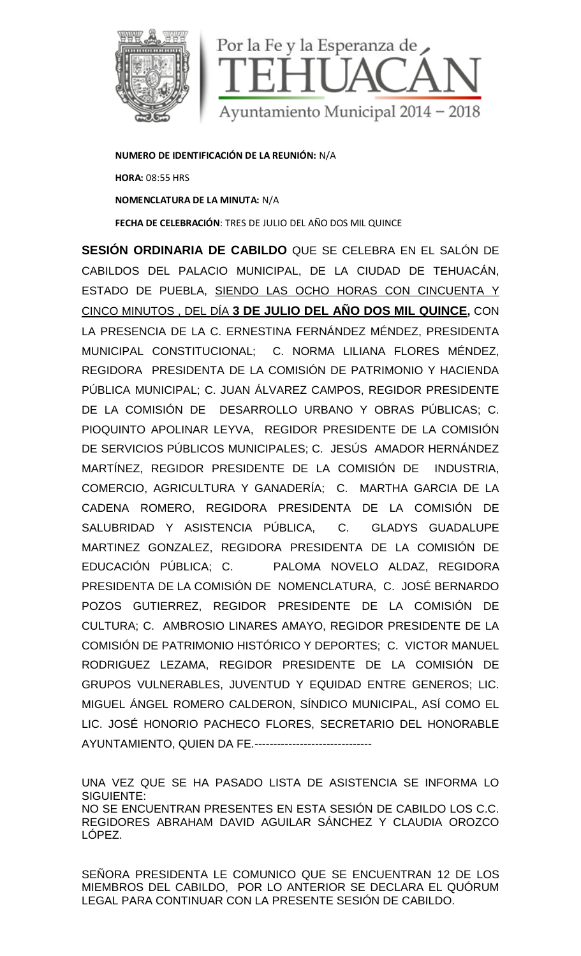

**NUMERO DE IDENTIFICACIÓN DE LA REUNIÓN:** N/A **HORA:** 08:55 HRS **NOMENCLATURA DE LA MINUTA:** N/A **FECHA DE CELEBRACIÓN**: TRES DE JULIO DEL AÑO DOS MIL QUINCE

**SESIÓN ORDINARIA DE CABILDO** QUE SE CELEBRA EN EL SALÓN DE CABILDOS DEL PALACIO MUNICIPAL, DE LA CIUDAD DE TEHUACÁN, ESTADO DE PUEBLA, SIENDO LAS OCHO HORAS CON CINCUENTA Y CINCO MINUTOS , DEL DÍA **3 DE JULIO DEL AÑO DOS MIL QUINCE,** CON LA PRESENCIA DE LA C. ERNESTINA FERNÁNDEZ MÉNDEZ, PRESIDENTA MUNICIPAL CONSTITUCIONAL; C. NORMA LILIANA FLORES MÉNDEZ, REGIDORA PRESIDENTA DE LA COMISIÓN DE PATRIMONIO Y HACIENDA PÚBLICA MUNICIPAL; C. JUAN ÁLVAREZ CAMPOS, REGIDOR PRESIDENTE DE LA COMISIÓN DE DESARROLLO URBANO Y OBRAS PÚBLICAS; C. PIOQUINTO APOLINAR LEYVA, REGIDOR PRESIDENTE DE LA COMISIÓN DE SERVICIOS PÚBLICOS MUNICIPALES; C. JESÚS AMADOR HERNÁNDEZ MARTÍNEZ, REGIDOR PRESIDENTE DE LA COMISIÓN DE INDUSTRIA, COMERCIO, AGRICULTURA Y GANADERÍA; C. MARTHA GARCIA DE LA CADENA ROMERO, REGIDORA PRESIDENTA DE LA COMISIÓN DE SALUBRIDAD Y ASISTENCIA PÚBLICA, C. GLADYS GUADALUPE MARTINEZ GONZALEZ, REGIDORA PRESIDENTA DE LA COMISIÓN DE EDUCACIÓN PÚBLICA; C. PALOMA NOVELO ALDAZ, REGIDORA PRESIDENTA DE LA COMISIÓN DE NOMENCLATURA, C. JOSÉ BERNARDO POZOS GUTIERREZ, REGIDOR PRESIDENTE DE LA COMISIÓN DE CULTURA; C. AMBROSIO LINARES AMAYO, REGIDOR PRESIDENTE DE LA COMISIÓN DE PATRIMONIO HISTÓRICO Y DEPORTES; C. VICTOR MANUEL RODRIGUEZ LEZAMA, REGIDOR PRESIDENTE DE LA COMISIÓN DE GRUPOS VULNERABLES, JUVENTUD Y EQUIDAD ENTRE GENEROS; LIC. MIGUEL ÁNGEL ROMERO CALDERON, SÍNDICO MUNICIPAL, ASÍ COMO EL LIC. JOSÉ HONORIO PACHECO FLORES, SECRETARIO DEL HONORABLE AYUNTAMIENTO, QUIEN DA FE.-------------------------------

UNA VEZ QUE SE HA PASADO LISTA DE ASISTENCIA SE INFORMA LO SIGUIENTE: NO SE ENCUENTRAN PRESENTES EN ESTA SESIÓN DE CABILDO LOS C.C. REGIDORES ABRAHAM DAVID AGUILAR SÁNCHEZ Y CLAUDIA OROZCO LÓPEZ.

SEÑORA PRESIDENTA LE COMUNICO QUE SE ENCUENTRAN 12 DE LOS MIEMBROS DEL CABILDO, POR LO ANTERIOR SE DECLARA EL QUÓRUM LEGAL PARA CONTINUAR CON LA PRESENTE SESIÓN DE CABILDO.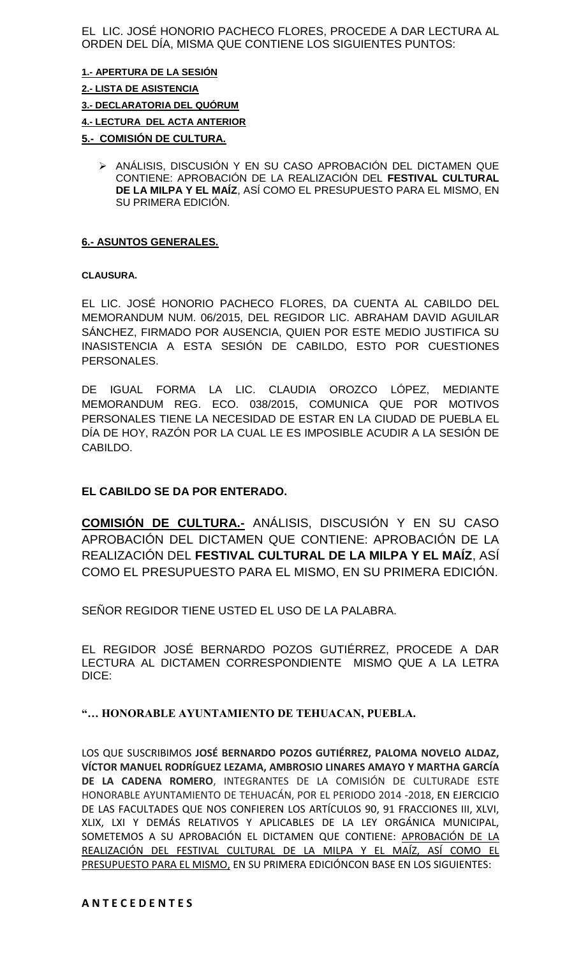EL LIC. JOSÉ HONORIO PACHECO FLORES, PROCEDE A DAR LECTURA AL ORDEN DEL DÍA, MISMA QUE CONTIENE LOS SIGUIENTES PUNTOS:

**1.- APERTURA DE LA SESIÓN 2.- LISTA DE ASISTENCIA 3.- DECLARATORIA DEL QUÓRUM 4.- LECTURA DEL ACTA ANTERIOR**

**5.- COMISIÓN DE CULTURA.**

> ANÁLISIS, DISCUSIÓN Y EN SU CASO APROBACIÓN DEL DICTAMEN QUE CONTIENE: APROBACIÓN DE LA REALIZACIÓN DEL **FESTIVAL CULTURAL DE LA MILPA Y EL MAÍZ**, ASÍ COMO EL PRESUPUESTO PARA EL MISMO, EN SU PRIMERA EDICIÓN.

### **6.- ASUNTOS GENERALES.**

#### **CLAUSURA.**

EL LIC. JOSÉ HONORIO PACHECO FLORES, DA CUENTA AL CABILDO DEL MEMORANDUM NUM. 06/2015, DEL REGIDOR LIC. ABRAHAM DAVID AGUILAR SÁNCHEZ, FIRMADO POR AUSENCIA, QUIEN POR ESTE MEDIO JUSTIFICA SU INASISTENCIA A ESTA SESIÓN DE CABILDO, ESTO POR CUESTIONES PERSONALES.

DE IGUAL FORMA LA LIC. CLAUDIA OROZCO LÓPEZ, MEDIANTE MEMORANDUM REG. ECO. 038/2015, COMUNICA QUE POR MOTIVOS PERSONALES TIENE LA NECESIDAD DE ESTAR EN LA CIUDAD DE PUEBLA EL DÍA DE HOY, RAZÓN POR LA CUAL LE ES IMPOSIBLE ACUDIR A LA SESIÓN DE CABILDO.

# **EL CABILDO SE DA POR ENTERADO.**

**COMISIÓN DE CULTURA.-** ANÁLISIS, DISCUSIÓN Y EN SU CASO APROBACIÓN DEL DICTAMEN QUE CONTIENE: APROBACIÓN DE LA REALIZACIÓN DEL **FESTIVAL CULTURAL DE LA MILPA Y EL MAÍZ**, ASÍ COMO EL PRESUPUESTO PARA EL MISMO, EN SU PRIMERA EDICIÓN.

SEÑOR REGIDOR TIENE USTED EL USO DE LA PALABRA.

EL REGIDOR JOSÉ BERNARDO POZOS GUTIÉRREZ, PROCEDE A DAR LECTURA AL DICTAMEN CORRESPONDIENTE MISMO QUE A LA LETRA DICE:

## **"… HONORABLE AYUNTAMIENTO DE TEHUACAN, PUEBLA.**

LOS QUE SUSCRIBIMOS **JOSÉ BERNARDO POZOS GUTIÉRREZ, PALOMA NOVELO ALDAZ, VÍCTOR MANUEL RODRÍGUEZ LEZAMA, AMBROSIO LINARES AMAYO Y MARTHA GARCÍA DE LA CADENA ROMERO**, INTEGRANTES DE LA COMISIÓN DE CULTURADE ESTE HONORABLE AYUNTAMIENTO DE TEHUACÁN, POR EL PERIODO 2014 -2018, EN EJERCICIO DE LAS FACULTADES QUE NOS CONFIEREN LOS ARTÍCULOS 90, 91 FRACCIONES III, XLVI, XLIX, LXI Y DEMÁS RELATIVOS Y APLICABLES DE LA LEY ORGÁNICA MUNICIPAL, SOMETEMOS A SU APROBACIÓN EL DICTAMEN QUE CONTIENE: APROBACIÓN DE LA REALIZACIÓN DEL FESTIVAL CULTURAL DE LA MILPA Y EL MAÍZ, ASÍ COMO EL PRESUPUESTO PARA EL MISMO, EN SU PRIMERA EDICIÓNCON BASE EN LOS SIGUIENTES: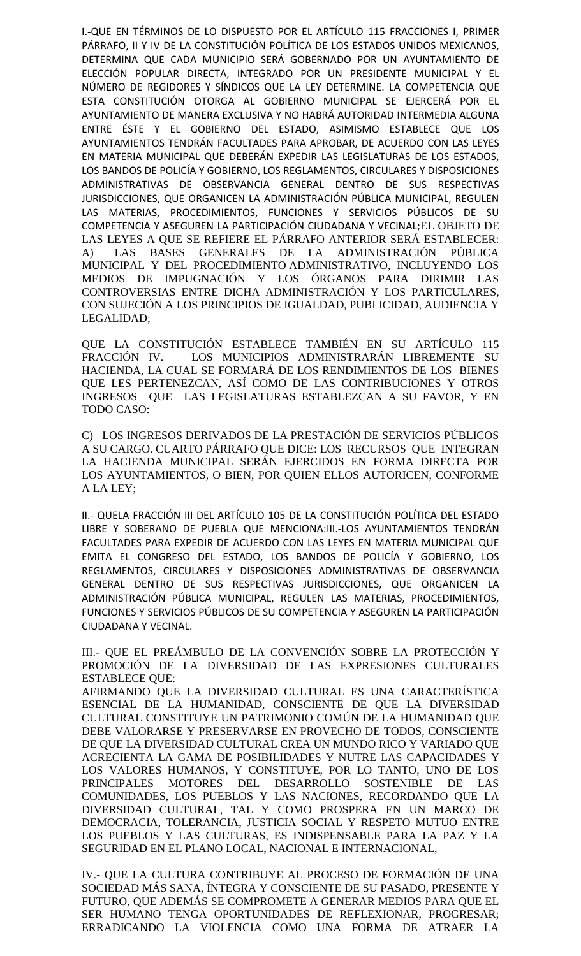I.-QUE EN TÉRMINOS DE LO DISPUESTO POR EL ARTÍCULO 115 FRACCIONES I, PRIMER PÁRRAFO, II Y IV DE LA CONSTITUCIÓN POLÍTICA DE LOS ESTADOS UNIDOS MEXICANOS, DETERMINA QUE CADA MUNICIPIO SERÁ GOBERNADO POR UN AYUNTAMIENTO DE ELECCIÓN POPULAR DIRECTA, INTEGRADO POR UN PRESIDENTE MUNICIPAL Y EL NÚMERO DE REGIDORES Y SÍNDICOS QUE LA LEY DETERMINE. LA COMPETENCIA QUE ESTA CONSTITUCIÓN OTORGA AL GOBIERNO MUNICIPAL SE EJERCERÁ POR EL AYUNTAMIENTO DE MANERA EXCLUSIVA Y NO HABRÁ AUTORIDAD INTERMEDIA ALGUNA ENTRE ÉSTE Y EL GOBIERNO DEL ESTADO, ASIMISMO ESTABLECE QUE LOS AYUNTAMIENTOS TENDRÁN FACULTADES PARA APROBAR, DE ACUERDO CON LAS LEYES EN MATERIA MUNICIPAL QUE DEBERÁN EXPEDIR LAS LEGISLATURAS DE LOS ESTADOS, LOS BANDOS DE POLICÍA Y GOBIERNO, LOS REGLAMENTOS, CIRCULARES Y DISPOSICIONES ADMINISTRATIVAS DE OBSERVANCIA GENERAL DENTRO DE SUS RESPECTIVAS JURISDICCIONES, QUE ORGANICEN LA ADMINISTRACIÓN PÚBLICA MUNICIPAL, REGULEN LAS MATERIAS, PROCEDIMIENTOS, FUNCIONES Y SERVICIOS PÚBLICOS DE SU COMPETENCIA Y ASEGUREN LA PARTICIPACIÓN CIUDADANA Y VECINAL;EL OBJETO DE LAS LEYES A QUE SE REFIERE EL PÁRRAFO ANTERIOR SERÁ ESTABLECER: A) LAS BASES GENERALES DE LA ADMINISTRACIÓN PÚBLICA MUNICIPAL Y DEL PROCEDIMIENTO ADMINISTRATIVO, INCLUYENDO LOS MEDIOS DE IMPUGNACIÓN Y LOS ÓRGANOS PARA DIRIMIR LAS CONTROVERSIAS ENTRE DICHA ADMINISTRACIÓN Y LOS PARTICULARES, CON SUJECIÓN A LOS PRINCIPIOS DE IGUALDAD, PUBLICIDAD, AUDIENCIA Y LEGALIDAD;

QUE LA CONSTITUCIÓN ESTABLECE TAMBIÉN EN SU ARTÍCULO 115 FRACCIÓN IV. LOS MUNICIPIOS ADMINISTRARÁN LIBREMENTE SU HACIENDA, LA CUAL SE FORMARÁ DE LOS RENDIMIENTOS DE LOS BIENES QUE LES PERTENEZCAN, ASÍ COMO DE LAS CONTRIBUCIONES Y OTROS INGRESOS QUE LAS LEGISLATURAS ESTABLEZCAN A SU FAVOR, Y EN TODO CASO:

C) LOS INGRESOS DERIVADOS DE LA PRESTACIÓN DE SERVICIOS PÚBLICOS A SU CARGO. CUARTO PÁRRAFO QUE DICE: LOS RECURSOS QUE INTEGRAN LA HACIENDA MUNICIPAL SERÁN EJERCIDOS EN FORMA DIRECTA POR LOS AYUNTAMIENTOS, O BIEN, POR QUIEN ELLOS AUTORICEN, CONFORME A LA LEY;

II.- QUELA FRACCIÓN III DEL ARTÍCULO 105 DE LA CONSTITUCIÓN POLÍTICA DEL ESTADO LIBRE Y SOBERANO DE PUEBLA QUE MENCIONA:III.-LOS AYUNTAMIENTOS TENDRÁN FACULTADES PARA EXPEDIR DE ACUERDO CON LAS LEYES EN MATERIA MUNICIPAL QUE EMITA EL CONGRESO DEL ESTADO, LOS BANDOS DE POLICÍA Y GOBIERNO, LOS REGLAMENTOS, CIRCULARES Y DISPOSICIONES ADMINISTRATIVAS DE OBSERVANCIA GENERAL DENTRO DE SUS RESPECTIVAS JURISDICCIONES, QUE ORGANICEN LA ADMINISTRACIÓN PÚBLICA MUNICIPAL, REGULEN LAS MATERIAS, PROCEDIMIENTOS, FUNCIONES Y SERVICIOS PÚBLICOS DE SU COMPETENCIA Y ASEGUREN LA PARTICIPACIÓN CIUDADANA Y VECINAL.

III.- QUE EL PREÁMBULO DE LA CONVENCIÓN SOBRE LA PROTECCIÓN Y PROMOCIÓN DE LA DIVERSIDAD DE LAS EXPRESIONES CULTURALES ESTABLECE QUE:

AFIRMANDO QUE LA DIVERSIDAD CULTURAL ES UNA CARACTERÍSTICA ESENCIAL DE LA HUMANIDAD, CONSCIENTE DE QUE LA DIVERSIDAD CULTURAL CONSTITUYE UN PATRIMONIO COMÚN DE LA HUMANIDAD QUE DEBE VALORARSE Y PRESERVARSE EN PROVECHO DE TODOS, CONSCIENTE DE QUE LA DIVERSIDAD CULTURAL CREA UN MUNDO RICO Y VARIADO QUE ACRECIENTA LA GAMA DE POSIBILIDADES Y NUTRE LAS CAPACIDADES Y LOS VALORES HUMANOS, Y CONSTITUYE, POR LO TANTO, UNO DE LOS PRINCIPALES MOTORES DEL DESARROLLO SOSTENIBLE DE LAS COMUNIDADES, LOS PUEBLOS Y LAS NACIONES, RECORDANDO QUE LA DIVERSIDAD CULTURAL, TAL Y COMO PROSPERA EN UN MARCO DE DEMOCRACIA, TOLERANCIA, JUSTICIA SOCIAL Y RESPETO MUTUO ENTRE LOS PUEBLOS Y LAS CULTURAS, ES INDISPENSABLE PARA LA PAZ Y LA SEGURIDAD EN EL PLANO LOCAL, NACIONAL E INTERNACIONAL,

IV.- QUE LA CULTURA CONTRIBUYE AL PROCESO DE FORMACIÓN DE UNA SOCIEDAD MÁS SANA, ÍNTEGRA Y CONSCIENTE DE SU PASADO, PRESENTE Y FUTURO, QUE ADEMÁS SE COMPROMETE A GENERAR MEDIOS PARA QUE EL SER HUMANO TENGA OPORTUNIDADES DE REFLEXIONAR, PROGRESAR; ERRADICANDO LA VIOLENCIA COMO UNA FORMA DE ATRAER LA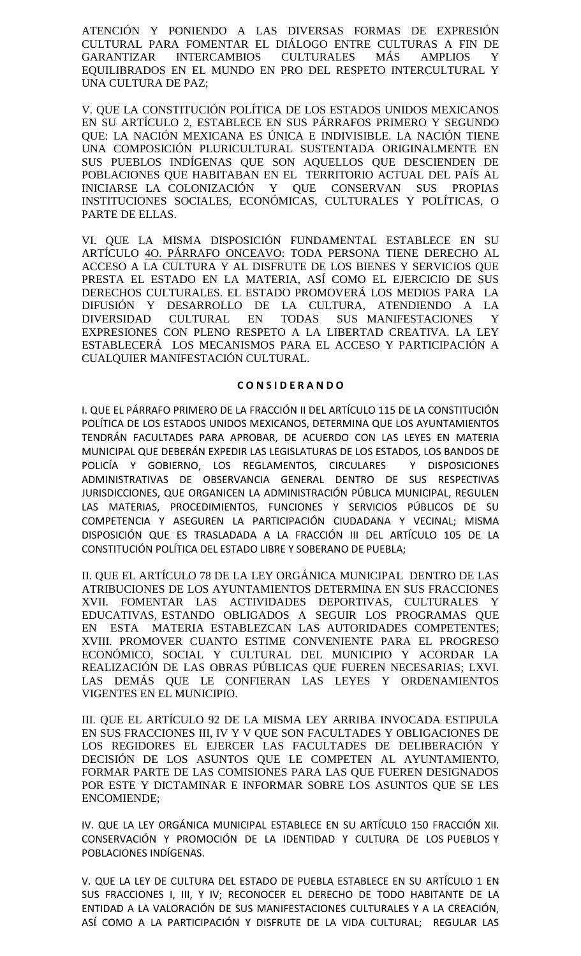ATENCIÓN Y PONIENDO A LAS DIVERSAS FORMAS DE EXPRESIÓN CULTURAL PARA FOMENTAR EL DIÁLOGO ENTRE CULTURAS A FIN DE GARANTIZAR INTERCAMBIOS CULTURALES MÁS AMPLIOS Y EQUILIBRADOS EN EL MUNDO EN PRO DEL RESPETO INTERCULTURAL Y UNA CULTURA DE PAZ;

V. QUE LA CONSTITUCIÓN POLÍTICA DE LOS ESTADOS UNIDOS MEXICANOS EN SU ARTÍCULO 2, ESTABLECE EN SUS PÁRRAFOS PRIMERO Y SEGUNDO QUE: LA NACIÓN MEXICANA ES ÚNICA E INDIVISIBLE. LA NACIÓN TIENE UNA COMPOSICIÓN PLURICULTURAL SUSTENTADA ORIGINALMENTE EN SUS PUEBLOS INDÍGENAS QUE SON AQUELLOS QUE DESCIENDEN DE POBLACIONES QUE HABITABAN EN EL TERRITORIO ACTUAL DEL PAÍS AL INICIARSE LA COLONIZACIÓN Y QUE CONSERVAN SUS PROPIAS INSTITUCIONES SOCIALES, ECONÓMICAS, CULTURALES Y POLÍTICAS, O PARTE DE ELLAS.

VI. QUE LA MISMA DISPOSICIÓN FUNDAMENTAL ESTABLECE EN SU ARTÍCULO 4O. PÁRRAFO ONCEAVO: TODA PERSONA TIENE DERECHO AL ACCESO A LA CULTURA Y AL DISFRUTE DE LOS BIENES Y SERVICIOS QUE PRESTA EL ESTADO EN LA MATERIA, ASÍ COMO EL EJERCICIO DE SUS DERECHOS CULTURALES. EL ESTADO PROMOVERÁ LOS MEDIOS PARA LA DIFUSIÓN Y DESARROLLO DE LA CULTURA, ATENDIENDO A LA DIVERSIDAD CULTURAL EN TODAS SUS MANIFESTACIONES Y EXPRESIONES CON PLENO RESPETO A LA LIBERTAD CREATIVA. LA LEY ESTABLECERÁ LOS MECANISMOS PARA EL ACCESO Y PARTICIPACIÓN A CUALQUIER MANIFESTACIÓN CULTURAL.

#### **C O N S I D E R A N D O**

I. QUE EL PÁRRAFO PRIMERO DE LA FRACCIÓN II DEL ARTÍCULO 115 DE LA CONSTITUCIÓN POLÍTICA DE LOS ESTADOS UNIDOS MEXICANOS, DETERMINA QUE LOS AYUNTAMIENTOS TENDRÁN FACULTADES PARA APROBAR, DE ACUERDO CON LAS LEYES EN MATERIA MUNICIPAL QUE DEBERÁN EXPEDIR LAS LEGISLATURAS DE LOS ESTADOS, LOS BANDOS DE POLICÍA Y GOBIERNO, LOS REGLAMENTOS, CIRCULARES Y DISPOSICIONES ADMINISTRATIVAS DE OBSERVANCIA GENERAL DENTRO DE SUS RESPECTIVAS JURISDICCIONES, QUE ORGANICEN LA ADMINISTRACIÓN PÚBLICA MUNICIPAL, REGULEN LAS MATERIAS, PROCEDIMIENTOS, FUNCIONES Y SERVICIOS PÚBLICOS DE SU COMPETENCIA Y ASEGUREN LA PARTICIPACIÓN CIUDADANA Y VECINAL; MISMA DISPOSICIÓN QUE ES TRASLADADA A LA FRACCIÓN III DEL ARTÍCULO 105 DE LA CONSTITUCIÓN POLÍTICA DEL ESTADO LIBRE Y SOBERANO DE PUEBLA;

II. QUE EL ARTÍCULO 78 DE LA LEY ORGÁNICA MUNICIPAL DENTRO DE LAS ATRIBUCIONES DE LOS AYUNTAMIENTOS DETERMINA EN SUS FRACCIONES XVII. FOMENTAR LAS ACTIVIDADES DEPORTIVAS, CULTURALES Y EDUCATIVAS, ESTANDO OBLIGADOS A SEGUIR LOS PROGRAMAS QUE EN ESTA MATERIA ESTABLEZCAN LAS AUTORIDADES COMPETENTES; XVIII. PROMOVER CUANTO ESTIME CONVENIENTE PARA EL PROGRESO ECONÓMICO, SOCIAL Y CULTURAL DEL MUNICIPIO Y ACORDAR LA REALIZACIÓN DE LAS OBRAS PÚBLICAS QUE FUEREN NECESARIAS; LXVI. LAS DEMÁS QUE LE CONFIERAN LAS LEYES Y ORDENAMIENTOS VIGENTES EN EL MUNICIPIO.

III. QUE EL ARTÍCULO 92 DE LA MISMA LEY ARRIBA INVOCADA ESTIPULA EN SUS FRACCIONES III, IV Y V QUE SON FACULTADES Y OBLIGACIONES DE LOS REGIDORES EL EJERCER LAS FACULTADES DE DELIBERACIÓN Y DECISIÓN DE LOS ASUNTOS QUE LE COMPETEN AL AYUNTAMIENTO, FORMAR PARTE DE LAS COMISIONES PARA LAS QUE FUEREN DESIGNADOS POR ESTE Y DICTAMINAR E INFORMAR SOBRE LOS ASUNTOS QUE SE LES ENCOMIENDE;

IV. QUE LA LEY ORGÁNICA MUNICIPAL ESTABLECE EN SU ARTÍCULO 150 FRACCIÓN XII. CONSERVACIÓN Y PROMOCIÓN DE LA IDENTIDAD Y CULTURA DE LOS PUEBLOS Y POBLACIONES INDÍGENAS.

V. QUE LA LEY DE CULTURA DEL ESTADO DE PUEBLA ESTABLECE EN SU ARTÍCULO 1 EN SUS FRACCIONES I, III, Y IV; RECONOCER EL DERECHO DE TODO HABITANTE DE LA ENTIDAD A LA VALORACIÓN DE SUS MANIFESTACIONES CULTURALES Y A LA CREACIÓN, ASÍ COMO A LA PARTICIPACIÓN Y DISFRUTE DE LA VIDA CULTURAL; REGULAR LAS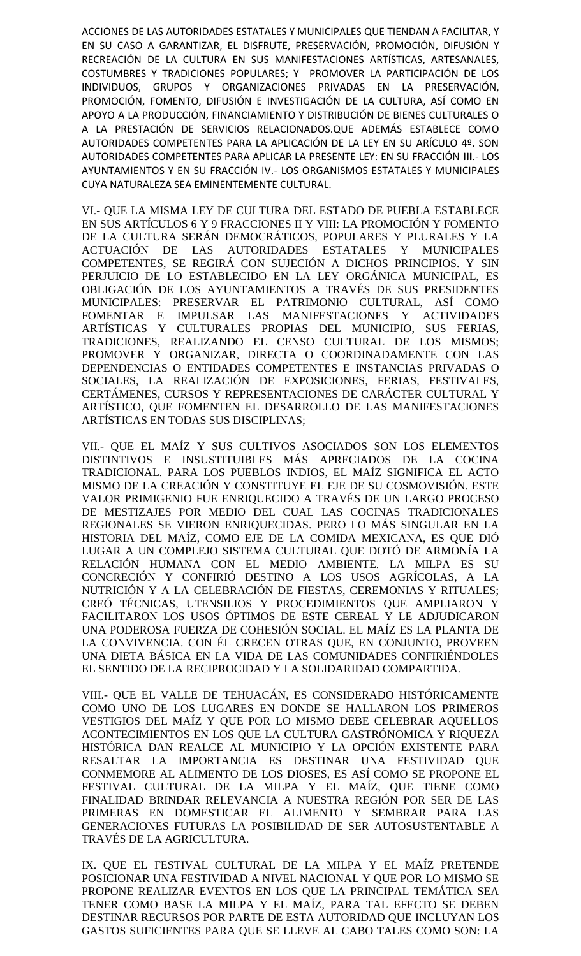ACCIONES DE LAS AUTORIDADES ESTATALES Y MUNICIPALES QUE TIENDAN A FACILITAR, Y EN SU CASO A GARANTIZAR, EL DISFRUTE, PRESERVACIÓN, PROMOCIÓN, DIFUSIÓN Y RECREACIÓN DE LA CULTURA EN SUS MANIFESTACIONES ARTÍSTICAS, ARTESANALES, COSTUMBRES Y TRADICIONES POPULARES; Y PROMOVER LA PARTICIPACIÓN DE LOS INDIVIDUOS, GRUPOS Y ORGANIZACIONES PRIVADAS EN LA PRESERVACIÓN, PROMOCIÓN, FOMENTO, DIFUSIÓN E INVESTIGACIÓN DE LA CULTURA, ASÍ COMO EN APOYO A LA PRODUCCIÓN, FINANCIAMIENTO Y DISTRIBUCIÓN DE BIENES CULTURALES O A LA PRESTACIÓN DE SERVICIOS RELACIONADOS.QUE ADEMÁS ESTABLECE COMO AUTORIDADES COMPETENTES PARA LA APLICACIÓN DE LA LEY EN SU ARÍCULO 4º. SON AUTORIDADES COMPETENTES PARA APLICAR LA PRESENTE LEY: EN SU FRACCIÓN **III**.- LOS AYUNTAMIENTOS Y EN SU FRACCIÓN IV.- LOS ORGANISMOS ESTATALES Y MUNICIPALES CUYA NATURALEZA SEA EMINENTEMENTE CULTURAL.

VI.- QUE LA MISMA LEY DE CULTURA DEL ESTADO DE PUEBLA ESTABLECE EN SUS ARTÍCULOS 6 Y 9 FRACCIONES II Y VIII: LA PROMOCIÓN Y FOMENTO DE LA CULTURA SERÁN DEMOCRÁTICOS, POPULARES Y PLURALES Y LA ACTUACIÓN DE LAS AUTORIDADES ESTATALES Y MUNICIPALES COMPETENTES, SE REGIRÁ CON SUJECIÓN A DICHOS PRINCIPIOS. Y SIN PERJUICIO DE LO ESTABLECIDO EN LA LEY ORGÁNICA MUNICIPAL, ES OBLIGACIÓN DE LOS AYUNTAMIENTOS A TRAVÉS DE SUS PRESIDENTES MUNICIPALES: PRESERVAR EL PATRIMONIO CULTURAL, ASÍ COMO FOMENTAR E IMPULSAR LAS MANIFESTACIONES Y ACTIVIDADES ARTÍSTICAS Y CULTURALES PROPIAS DEL MUNICIPIO, SUS FERIAS, TRADICIONES, REALIZANDO EL CENSO CULTURAL DE LOS MISMOS; PROMOVER Y ORGANIZAR, DIRECTA O COORDINADAMENTE CON LAS DEPENDENCIAS O ENTIDADES COMPETENTES E INSTANCIAS PRIVADAS O SOCIALES, LA REALIZACIÓN DE EXPOSICIONES, FERIAS, FESTIVALES, CERTÁMENES, CURSOS Y REPRESENTACIONES DE CARÁCTER CULTURAL Y ARTÍSTICO, QUE FOMENTEN EL DESARROLLO DE LAS MANIFESTACIONES ARTÍSTICAS EN TODAS SUS DISCIPLINAS;

VII.- QUE EL MAÍZ Y SUS CULTIVOS ASOCIADOS SON LOS ELEMENTOS DISTINTIVOS E INSUSTITUIBLES MÁS APRECIADOS DE LA COCINA TRADICIONAL. PARA LOS PUEBLOS INDIOS, EL MAÍZ SIGNIFICA EL ACTO MISMO DE LA CREACIÓN Y CONSTITUYE EL EJE DE SU COSMOVISIÓN. ESTE VALOR PRIMIGENIO FUE ENRIQUECIDO A TRAVÉS DE UN LARGO PROCESO DE MESTIZAJES POR MEDIO DEL CUAL LAS COCINAS TRADICIONALES REGIONALES SE VIERON ENRIQUECIDAS. PERO LO MÁS SINGULAR EN LA HISTORIA DEL MAÍZ, COMO EJE DE LA COMIDA MEXICANA, ES QUE DIÓ LUGAR A UN COMPLEJO SISTEMA CULTURAL QUE DOTÓ DE ARMONÍA LA RELACIÓN HUMANA CON EL MEDIO AMBIENTE. LA MILPA ES SU CONCRECIÓN Y CONFIRIÓ DESTINO A LOS USOS AGRÍCOLAS, A LA NUTRICIÓN Y A LA CELEBRACIÓN DE FIESTAS, CEREMONIAS Y RITUALES; CREÓ TÉCNICAS, UTENSILIOS Y PROCEDIMIENTOS QUE AMPLIARON Y FACILITARON LOS USOS ÓPTIMOS DE ESTE CEREAL Y LE ADJUDICARON UNA PODEROSA FUERZA DE COHESIÓN SOCIAL. EL MAÍZ ES LA PLANTA DE LA CONVIVENCIA. CON ÉL CRECEN OTRAS QUE, EN CONJUNTO, PROVEEN UNA DIETA BÁSICA EN LA VIDA DE LAS COMUNIDADES CONFIRIÉNDOLES EL SENTIDO DE LA RECIPROCIDAD Y LA SOLIDARIDAD COMPARTIDA.

VIII.- QUE EL VALLE DE TEHUACÁN, ES CONSIDERADO HISTÓRICAMENTE COMO UNO DE LOS LUGARES EN DONDE SE HALLARON LOS PRIMEROS VESTIGIOS DEL MAÍZ Y QUE POR LO MISMO DEBE CELEBRAR AQUELLOS ACONTECIMIENTOS EN LOS QUE LA CULTURA GASTRÓNOMICA Y RIQUEZA HISTÓRICA DAN REALCE AL MUNICIPIO Y LA OPCIÓN EXISTENTE PARA RESALTAR LA IMPORTANCIA ES DESTINAR UNA FESTIVIDAD QUE CONMEMORE AL ALIMENTO DE LOS DIOSES, ES ASÍ COMO SE PROPONE EL FESTIVAL CULTURAL DE LA MILPA Y EL MAÍZ, QUE TIENE COMO FINALIDAD BRINDAR RELEVANCIA A NUESTRA REGIÓN POR SER DE LAS PRIMERAS EN DOMESTICAR EL ALIMENTO Y SEMBRAR PARA LAS GENERACIONES FUTURAS LA POSIBILIDAD DE SER AUTOSUSTENTABLE A TRAVÉS DE LA AGRICULTURA.

IX. QUE EL FESTIVAL CULTURAL DE LA MILPA Y EL MAÍZ PRETENDE POSICIONAR UNA FESTIVIDAD A NIVEL NACIONAL Y QUE POR LO MISMO SE PROPONE REALIZAR EVENTOS EN LOS QUE LA PRINCIPAL TEMÁTICA SEA TENER COMO BASE LA MILPA Y EL MAÍZ, PARA TAL EFECTO SE DEBEN DESTINAR RECURSOS POR PARTE DE ESTA AUTORIDAD QUE INCLUYAN LOS GASTOS SUFICIENTES PARA QUE SE LLEVE AL CABO TALES COMO SON: LA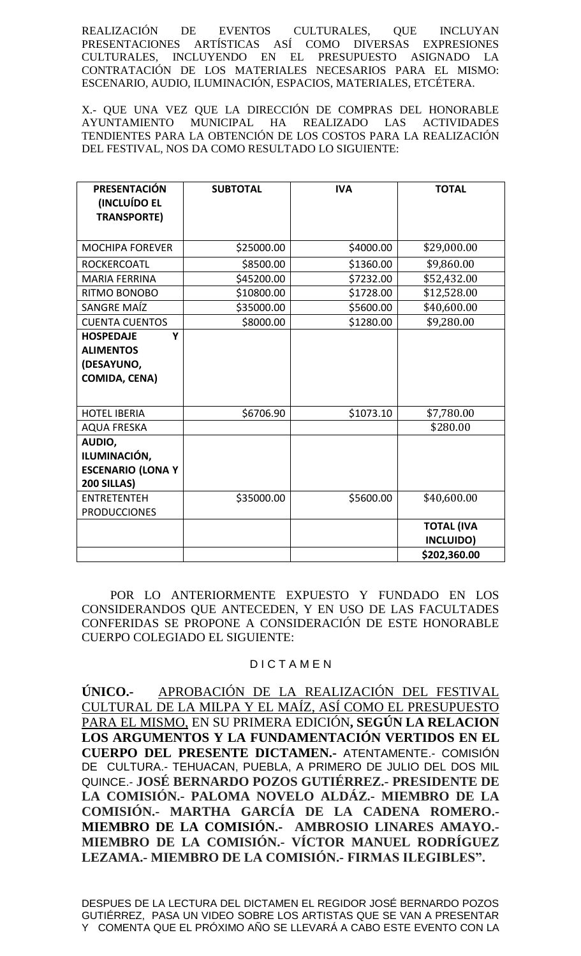REALIZACIÓN DE EVENTOS CULTURALES, QUE INCLUYAN PRESENTACIONES ARTÍSTICAS ASÍ COMO DIVERSAS EXPRESIONES CULTURALES, INCLUYENDO EN EL PRESUPUESTO ASIGNADO LA CONTRATACIÓN DE LOS MATERIALES NECESARIOS PARA EL MISMO: ESCENARIO, AUDIO, ILUMINACIÓN, ESPACIOS, MATERIALES, ETCÉTERA.

X.- QUE UNA VEZ QUE LA DIRECCIÓN DE COMPRAS DEL HONORABLE AYUNTAMIENTO MUNICIPAL HA REALIZADO LAS ACTIVIDADES TENDIENTES PARA LA OBTENCIÓN DE LOS COSTOS PARA LA REALIZACIÓN DEL FESTIVAL, NOS DA COMO RESULTADO LO SIGUIENTE:

| <b>PRESENTACIÓN</b><br><b>(INCLUÍDO EL</b><br><b>TRANSPORTE)</b>                | <b>SUBTOTAL</b> | <b>IVA</b> | <b>TOTAL</b>                   |
|---------------------------------------------------------------------------------|-----------------|------------|--------------------------------|
|                                                                                 |                 |            |                                |
| <b>MOCHIPA FOREVER</b>                                                          | \$25000.00      | \$4000.00  | \$29,000.00                    |
| <b>ROCKERCOATL</b>                                                              | \$8500.00       | \$1360.00  | \$9,860.00                     |
| <b>MARIA FERRINA</b>                                                            | \$45200.00      | \$7232.00  | \$52,432.00                    |
| RITMO BONOBO                                                                    | \$10800.00      | \$1728.00  | \$12,528.00                    |
| SANGRE MAÍZ                                                                     | \$35000.00      | \$5600.00  | \$40,600.00                    |
| <b>CUENTA CUENTOS</b>                                                           | \$8000.00       | \$1280.00  | \$9,280.00                     |
| <b>HOSPEDAJE</b><br>Y<br><b>ALIMENTOS</b><br>(DESAYUNO,<br><b>COMIDA, CENA)</b> |                 |            |                                |
| <b>HOTEL IBERIA</b>                                                             | \$6706.90       | \$1073.10  | \$7,780.00                     |
| <b>AQUA FRESKA</b>                                                              |                 |            | \$280.00                       |
| AUDIO,<br>ILUMINACIÓN,<br><b>ESCENARIO (LONA Y</b><br>200 SILLAS)               |                 |            |                                |
| <b>ENTRETENTEH</b><br><b>PRODUCCIONES</b>                                       | \$35000.00      | \$5600.00  | \$40,600.00                    |
|                                                                                 |                 |            | <b>TOTAL (IVA</b><br>INCLUIDO) |
|                                                                                 |                 |            | \$202,360.00                   |

POR LO ANTERIORMENTE EXPUESTO Y FUNDADO EN LOS CONSIDERANDOS QUE ANTECEDEN, Y EN USO DE LAS FACULTADES CONFERIDAS SE PROPONE A CONSIDERACIÓN DE ESTE HONORABLE CUERPO COLEGIADO EL SIGUIENTE:

## D I C T A M E N

**ÚNICO.-** APROBACIÓN DE LA REALIZACIÓN DEL FESTIVAL CULTURAL DE LA MILPA Y EL MAÍZ, ASÍ COMO EL PRESUPUESTO PARA EL MISMO, EN SU PRIMERA EDICIÓN**, SEGÚN LA RELACION LOS ARGUMENTOS Y LA FUNDAMENTACIÓN VERTIDOS EN EL CUERPO DEL PRESENTE DICTAMEN.-** ATENTAMENTE.- COMISIÓN DE CULTURA.- TEHUACAN, PUEBLA, A PRIMERO DE JULIO DEL DOS MIL QUINCE.- **JOSÉ BERNARDO POZOS GUTIÉRREZ.- PRESIDENTE DE LA COMISIÓN.- PALOMA NOVELO ALDÁZ.- MIEMBRO DE LA COMISIÓN.- MARTHA GARCÍA DE LA CADENA ROMERO.- MIEMBRO DE LA COMISIÓN.- AMBROSIO LINARES AMAYO.- MIEMBRO DE LA COMISIÓN.- VÍCTOR MANUEL RODRÍGUEZ LEZAMA.- MIEMBRO DE LA COMISIÓN.- FIRMAS ILEGIBLES".**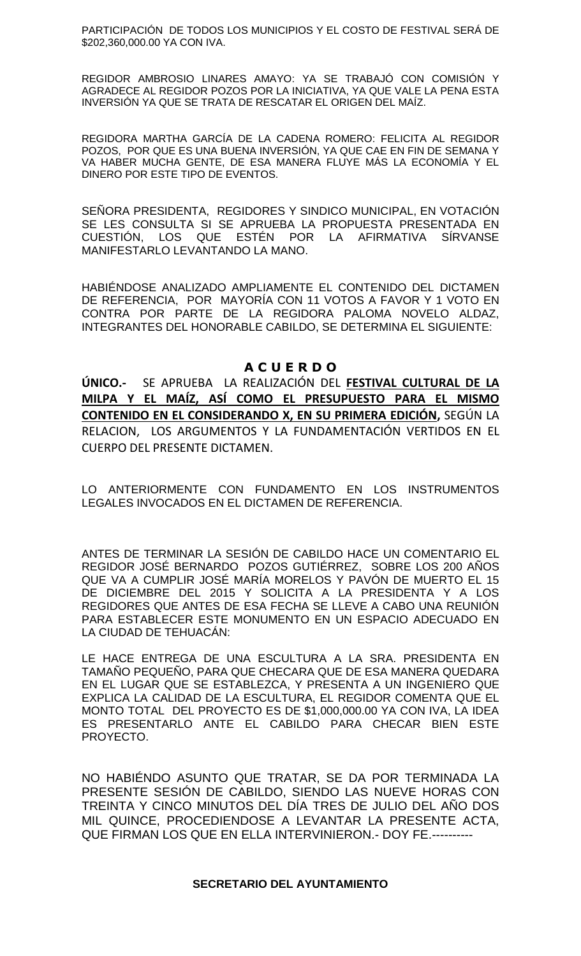PARTICIPACIÓN DE TODOS LOS MUNICIPIOS Y EL COSTO DE FESTIVAL SERÁ DE \$202,360,000.00 YA CON IVA.

REGIDOR AMBROSIO LINARES AMAYO: YA SE TRABAJÓ CON COMISIÓN Y AGRADECE AL REGIDOR POZOS POR LA INICIATIVA, YA QUE VALE LA PENA ESTA INVERSIÓN YA QUE SE TRATA DE RESCATAR EL ORIGEN DEL MAÍZ.

REGIDORA MARTHA GARCÍA DE LA CADENA ROMERO: FELICITA AL REGIDOR POZOS, POR QUE ES UNA BUENA INVERSIÓN, YA QUE CAE EN FIN DE SEMANA Y VA HABER MUCHA GENTE, DE ESA MANERA FLUYE MÁS LA ECONOMÍA Y EL DINERO POR ESTE TIPO DE EVENTOS.

SEÑORA PRESIDENTA, REGIDORES Y SINDICO MUNICIPAL, EN VOTACIÓN SE LES CONSULTA SI SE APRUEBA LA PROPUESTA PRESENTADA EN CUESTIÓN, LOS QUE ESTÉN POR LA AFIRMATIVA SÍRVANSE MANIFESTARLO LEVANTANDO LA MANO.

HABIÉNDOSE ANALIZADO AMPLIAMENTE EL CONTENIDO DEL DICTAMEN DE REFERENCIA, POR MAYORÍA CON 11 VOTOS A FAVOR Y 1 VOTO EN CONTRA POR PARTE DE LA REGIDORA PALOMA NOVELO ALDAZ, INTEGRANTES DEL HONORABLE CABILDO, SE DETERMINA EL SIGUIENTE:

## **A C U E R D O**

**ÚNICO.-** SE APRUEBA LA REALIZACIÓN DEL **FESTIVAL CULTURAL DE LA MILPA Y EL MAÍZ, ASÍ COMO EL PRESUPUESTO PARA EL MISMO CONTENIDO EN EL CONSIDERANDO X, EN SU PRIMERA EDICIÓN,** SEGÚN LA RELACION, LOS ARGUMENTOS Y LA FUNDAMENTACIÓN VERTIDOS EN EL CUERPO DEL PRESENTE DICTAMEN.

LO ANTERIORMENTE CON FUNDAMENTO EN LOS INSTRUMENTOS LEGALES INVOCADOS EN EL DICTAMEN DE REFERENCIA.

ANTES DE TERMINAR LA SESIÓN DE CABILDO HACE UN COMENTARIO EL REGIDOR JOSÉ BERNARDO POZOS GUTIÉRREZ, SOBRE LOS 200 AÑOS QUE VA A CUMPLIR JOSÉ MARÍA MORELOS Y PAVÓN DE MUERTO EL 15 DE DICIEMBRE DEL 2015 Y SOLICITA A LA PRESIDENTA Y A LOS REGIDORES QUE ANTES DE ESA FECHA SE LLEVE A CABO UNA REUNIÓN PARA ESTABLECER ESTE MONUMENTO EN UN ESPACIO ADECUADO EN LA CIUDAD DE TEHUACÁN:

LE HACE ENTREGA DE UNA ESCULTURA A LA SRA. PRESIDENTA EN TAMAÑO PEQUEÑO, PARA QUE CHECARA QUE DE ESA MANERA QUEDARA EN EL LUGAR QUE SE ESTABLEZCA, Y PRESENTA A UN INGENIERO QUE EXPLICA LA CALIDAD DE LA ESCULTURA, EL REGIDOR COMENTA QUE EL MONTO TOTAL DEL PROYECTO ES DE \$1,000,000.00 YA CON IVA, LA IDEA ES PRESENTARLO ANTE EL CABILDO PARA CHECAR BIEN ESTE PROYECTO.

NO HABIÉNDO ASUNTO QUE TRATAR, SE DA POR TERMINADA LA PRESENTE SESIÓN DE CABILDO, SIENDO LAS NUEVE HORAS CON TREINTA Y CINCO MINUTOS DEL DÍA TRES DE JULIO DEL AÑO DOS MIL QUINCE, PROCEDIENDOSE A LEVANTAR LA PRESENTE ACTA, QUE FIRMAN LOS QUE EN ELLA INTERVINIERON.- DOY FE.----------

#### **SECRETARIO DEL AYUNTAMIENTO**